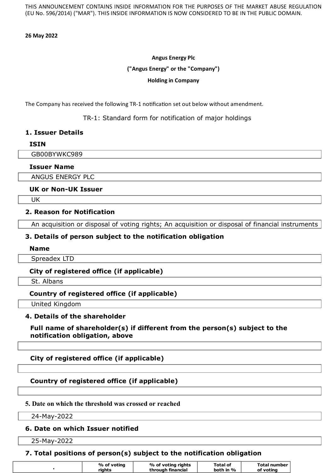THIS ANNOUNCEMENT CONTAINS INSIDE INFORMATION FOR THE PURPOSES OF THE MARKET ABUSE REGULATION (EU No. 596/2014) ("MAR"). THIS INSIDE INFORMATION IS NOW CONSIDERED TO BE IN THE PUBLIC DOMAIN.

#### **26 May 2022**

#### **Angus Energy Plc**

#### **("Angus Energy" or the "Company")**

#### **Holding in Company**

The Company has received the following TR-1 notification set out below without amendment.

TR-1: Standard form for notification of major holdings

### **1. Issuer Details**

### **ISIN**

GB00BYWKC989

### **Issuer Name**

ANGUS ENERGY PLC

### **UK or Non-UK Issuer**

UK

### **2. Reason for Notification**

An acquisition or disposal of voting rights; An acquisition or disposal of financial instruments

## **3. Details of person subject to the notification obligation**

#### **Name**

Spreadex LTD

## **City of registered office (if applicable)**

St. Albans

## **Country of registered office (if applicable)**

United Kingdom

### **4. Details of the shareholder**

### **Full name of shareholder(s) if different from the person(s) subject to the notification obligation, above**

## **City of registered office (if applicable)**

## **Country of registered office (if applicable)**

### **5. Date on which the threshold was crossed or reached**

24-May-2022

### **6. Date on which Issuer notified**

25-May-2022

## **7. Total positions of person(s) subject to the notification obligation**

| % of voting | % of voting rights | Total of  | Total number |
|-------------|--------------------|-----------|--------------|
| riahts      | through financial  | both in % | of voting    |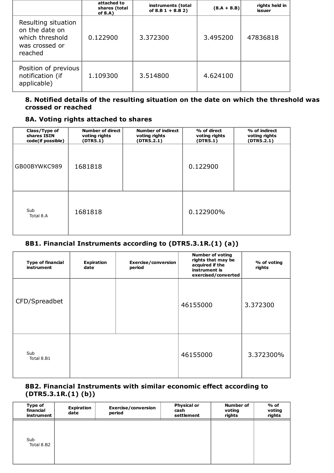|                                                                                       | attached to<br>shares (total<br>of $8.A$ ) | instruments (total<br>of $8.B 1 + 8.B 2)$ | $(8.A + 8.B)$ | rights held in<br>issuer |
|---------------------------------------------------------------------------------------|--------------------------------------------|-------------------------------------------|---------------|--------------------------|
| Resulting situation<br>on the date on<br>which threshold<br>was crossed or<br>reached | 0.122900                                   | 3.372300                                  | 3.495200      | 47836818                 |
| Position of previous<br>notification (if<br>applicable)                               | 1.109300                                   | 3.514800                                  | 4.624100      |                          |

## **8. Notified details of the resulting situation on the date on which the threshold was crossed or reached**

### **8A. Voting rights attached to shares**

| Class/Type of<br>shares ISIN<br>code(if possible) | <b>Number of direct</b><br>voting rights<br>(DTR5.1) | <b>Number of indirect</b><br>voting rights<br>(DTR5.2.1) | % of direct<br>voting rights<br>(DTR5.1) | % of indirect<br>voting rights<br>(DTR5.2.1) |
|---------------------------------------------------|------------------------------------------------------|----------------------------------------------------------|------------------------------------------|----------------------------------------------|
| GB00BYWKC989                                      | 1681818                                              |                                                          | 0.122900                                 |                                              |
| Sub<br>Total 8.A                                  | 1681818                                              |                                                          | 0.122900%                                |                                              |

# **8B1. Financial Instruments according to (DTR5.3.1R.(1) (a))**

| <b>Type of financial</b><br>instrument | <b>Expiration</b><br>date | Exercise/conversion<br>period | <b>Number of voting</b><br>rights that may be<br>acquired if the<br>instrument is<br>exercised/converted | % of voting<br>rights |
|----------------------------------------|---------------------------|-------------------------------|----------------------------------------------------------------------------------------------------------|-----------------------|
| CFD/Spreadbet                          |                           |                               | 46155000                                                                                                 | 3.372300              |
| Sub<br>Total 8.B1                      |                           |                               | 46155000                                                                                                 | 3.372300%             |

## **8B2. Financial Instruments with similar economic effect according to (DTR5.3.1R.(1) (b))**

| Type of<br>financial<br>instrument | Expiration<br>date | Exercise/conversion<br>period | <b>Physical or</b><br>cash<br>settlement | <b>Number of</b><br>voting<br>rights | $%$ of<br>voting<br>rights |
|------------------------------------|--------------------|-------------------------------|------------------------------------------|--------------------------------------|----------------------------|
| Sub<br>Total 8.B2                  |                    |                               |                                          |                                      |                            |